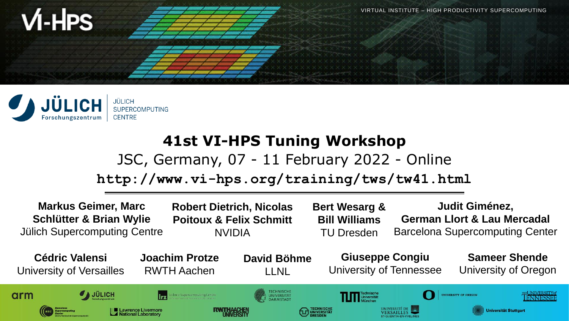



## **41st VI-HPS Tuning Workshop**

#### JSC, Germany, 07 - 11 February 2022 - Online

#### **http://www.vi-hps.org/training/tws/tw41.html**

**Markus Geimer, Marc Judit Giménez, Robert Dietrich, Nicolas Bert Wesarg & Schlütter & Brian Wylie German Llort & Lau Mercadal Poitoux & Felix Schmitt Bill Williams** Jülich Supercomputing Centre NVIDIA TU Dresden Barcelona Supercomputing Center **Sameer Shende Giuseppe Congiu Cédric Valensi Joachim Protze David Böhme** University of Tennessee University of Versailles RWTH Aachen University of Oregon LLNL $\mathcal{J}_A$  JÜLICH arm **INIVERSITAT** iversität Stuttgart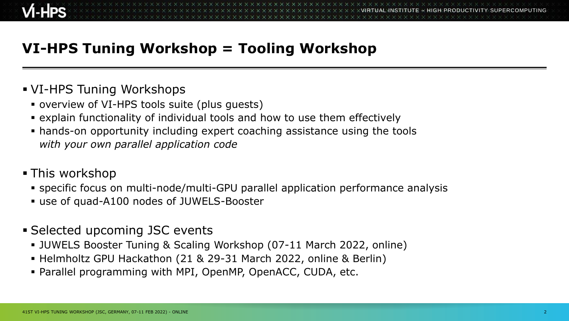# **VI-HPS Tuning Workshop = Tooling Workshop**

#### VI-HPS Tuning Workshops

- overview of VI-HPS tools suite (plus guests)
- explain functionality of individual tools and how to use them effectively
- hands-on opportunity including expert coaching assistance using the tools *with your own parallel application code*

#### This workshop

- specific focus on multi-node/multi-GPU parallel application performance analysis
- use of quad-A100 nodes of JUWELS-Booster
- Selected upcoming JSC events
	- JUWELS Booster Tuning & Scaling Workshop (07-11 March 2022, online)
	- Helmholtz GPU Hackathon (21 & 29-31 March 2022, online & Berlin)
	- Parallel programming with MPI, OpenMP, OpenACC, CUDA, etc.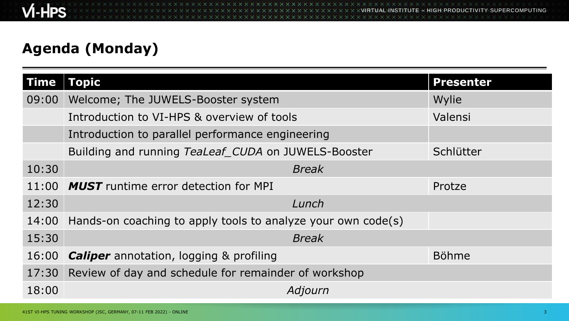# **Agenda (Monday)**

| <b>Time</b> | Topic                                                        | <b>Presenter</b> |
|-------------|--------------------------------------------------------------|------------------|
| 09:00       | Welcome; The JUWELS-Booster system                           | Wylie            |
|             | Introduction to VI-HPS & overview of tools                   | Valensi          |
|             | Introduction to parallel performance engineering             |                  |
|             | Building and running TeaLeaf CUDA on JUWELS-Booster          | Schlütter        |
| 10:30       | <b>Break</b>                                                 |                  |
| 11:00       | <b>MUST</b> runtime error detection for MPI                  | Protze           |
| 12:30       | Lunch                                                        |                  |
| 14:00       | Hands-on coaching to apply tools to analyze your own code(s) |                  |
| 15:30       | <b>Break</b>                                                 |                  |
| 16:00       | <b>Caliper</b> annotation, logging & profiling               | <b>Böhme</b>     |
| 17:30       | Review of day and schedule for remainder of workshop         |                  |
| 18:00       | Adjourn                                                      |                  |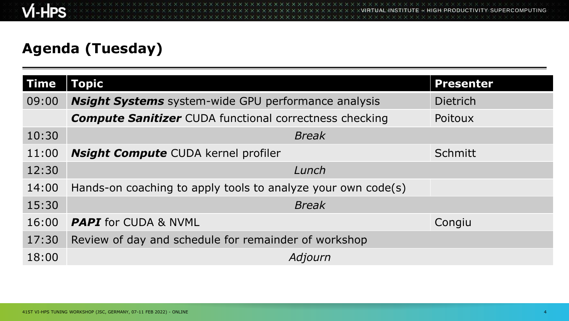# **Agenda (Tuesday)**

| <b>Time</b> | <b>Topic</b>                                                  | <b>Presenter</b> |
|-------------|---------------------------------------------------------------|------------------|
| 09:00       | <b>Nsight Systems</b> system-wide GPU performance analysis    | <b>Dietrich</b>  |
|             | <b>Compute Sanitizer</b> CUDA functional correctness checking | Poitoux          |
| 10:30       | <b>Break</b>                                                  |                  |
| 11:00       | <b>Nsight Compute</b> CUDA kernel profiler                    | <b>Schmitt</b>   |
| 12:30       | Lunch                                                         |                  |
| 14:00       | Hands-on coaching to apply tools to analyze your own code(s)  |                  |
| 15:30       | <b>Break</b>                                                  |                  |
| 16:00       | <b>PAPI</b> for CUDA & NVML                                   | Congiu           |
| 17:30       | Review of day and schedule for remainder of workshop          |                  |
| 18:00       | Adjourn                                                       |                  |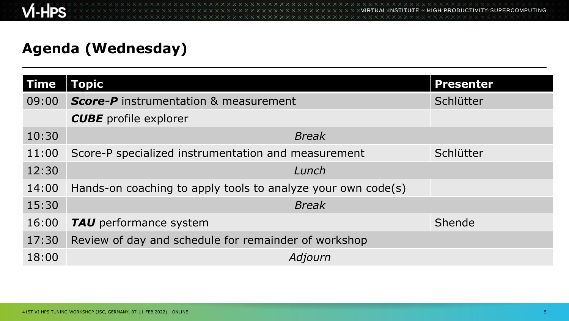### **Agenda (Wednesday)**

| Time  | <b>Topic</b>                                                 | <b>Presenter</b> |  |
|-------|--------------------------------------------------------------|------------------|--|
| 09:00 | <b>Score-P</b> instrumentation & measurement                 | Schlütter        |  |
|       | <b>CUBE</b> profile explorer                                 |                  |  |
| 10:30 | <b>Break</b>                                                 |                  |  |
| 11:00 | Score-P specialized instrumentation and measurement          | Schlütter        |  |
| 12:30 | Lunch                                                        |                  |  |
| 14:00 | Hands-on coaching to apply tools to analyze your own code(s) |                  |  |
| 15:30 | <b>Break</b>                                                 |                  |  |
| 16:00 | TAU performance system                                       | Shende           |  |
| 17:30 | Review of day and schedule for remainder of workshop         |                  |  |
| 18:00 | Adjourn                                                      |                  |  |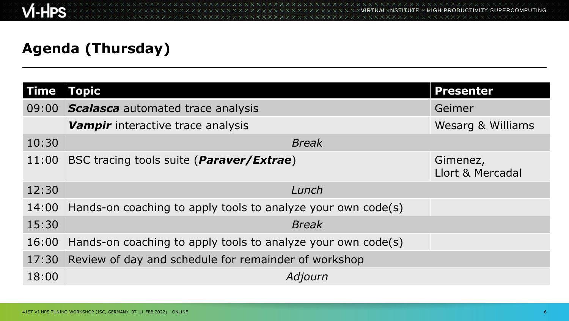## **Agenda (Thursday)**

| Time  | Topic                                                        |              | <b>Presenter</b>             |
|-------|--------------------------------------------------------------|--------------|------------------------------|
| 09:00 | <b>Scalasca</b> automated trace analysis                     |              | Geimer                       |
|       | Vampir interactive trace analysis                            |              | <b>Wesarg &amp; Williams</b> |
| 10:30 |                                                              | <b>Break</b> |                              |
| 11:00 | BSC tracing tools suite ( <i>Paraver/Extrae</i> )            |              | Gimenez,<br>Llort & Mercadal |
| 12:30 |                                                              | Lunch        |                              |
| 14:00 | Hands-on coaching to apply tools to analyze your own code(s) |              |                              |
| 15:30 |                                                              | <b>Break</b> |                              |
| 16:00 | Hands-on coaching to apply tools to analyze your own code(s) |              |                              |
| 17:30 | Review of day and schedule for remainder of workshop         |              |                              |
| 18:00 |                                                              | Adjourn      |                              |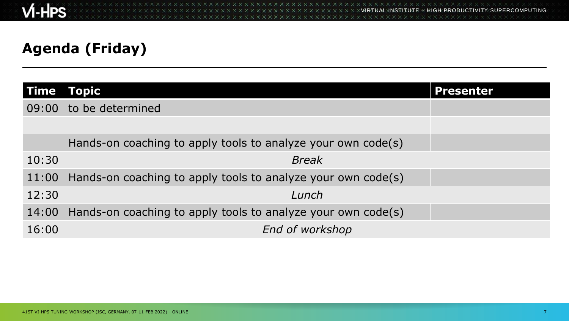VIRTUAL INSTITUTE – HIGH PRODUCTIVITY SUPERCOMPUTING x x x x x x x x x x x x x x x **XXXXXXXXXXXXXXXXXXXXXXX** 

# **Agenda (Friday)**

| <b>Time</b> | Topic                                                        | Presenter |
|-------------|--------------------------------------------------------------|-----------|
| 09:00       | to be determined                                             |           |
|             |                                                              |           |
|             | Hands-on coaching to apply tools to analyze your own code(s) |           |
| 10:30       | <b>Break</b>                                                 |           |
| 11:00       | Hands-on coaching to apply tools to analyze your own code(s) |           |
| 12:30       | Lunch                                                        |           |
| 14:00       | Hands-on coaching to apply tools to analyze your own code(s) |           |
| 16:00       | End of workshop                                              |           |